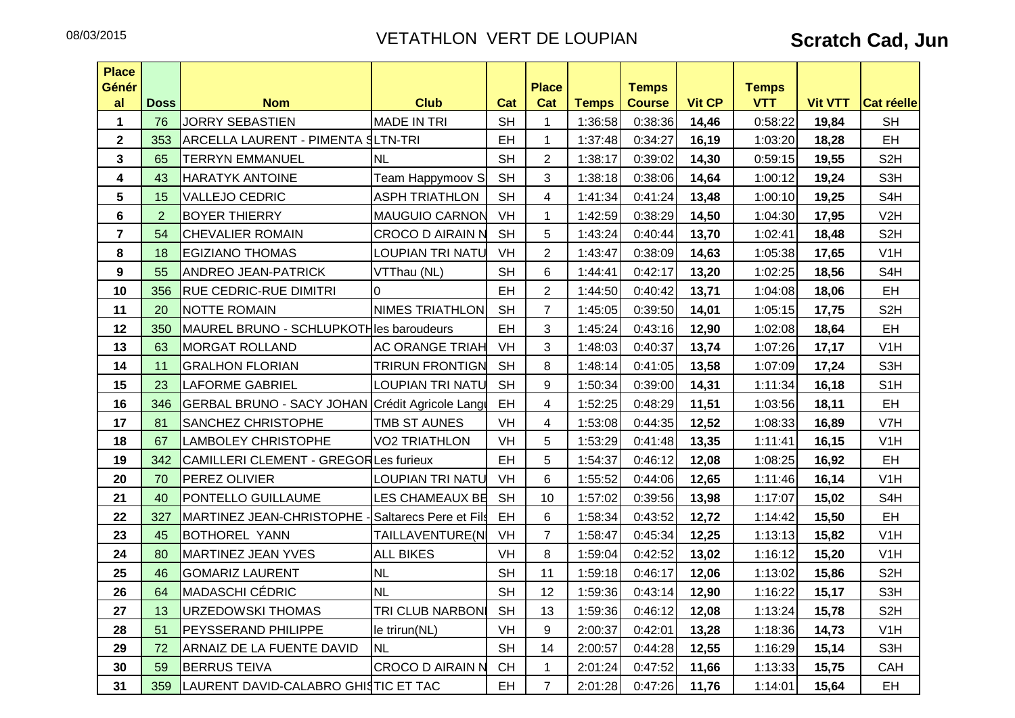| <b>Place</b>    |                |                                                   |                         |           |                     |              |                               |               |                            |                |                  |
|-----------------|----------------|---------------------------------------------------|-------------------------|-----------|---------------------|--------------|-------------------------------|---------------|----------------------------|----------------|------------------|
| Génér<br>al     | <b>Doss</b>    | <b>Nom</b>                                        | <b>Club</b>             | Cat       | <b>Place</b><br>Cat | <b>Temps</b> | <b>Temps</b><br><b>Course</b> | <b>Vit CP</b> | <b>Temps</b><br><b>VTT</b> | <b>Vit VTT</b> | Cat réelle       |
| $\mathbf 1$     | 76             | <b>JORRY SEBASTIEN</b>                            | <b>MADE IN TRI</b>      | <b>SH</b> |                     | 1:36:58      | 0:38:36                       | 14,46         | 0:58:22                    | 19,84          | <b>SH</b>        |
| $\overline{2}$  | 353            | ARCELLA LAURENT - PIMENTA SLTN-TRI                |                         | EH        | $\mathbf{1}$        | 1:37:48      | 0:34:27                       | 16,19         | 1:03:20                    | 18,28          | EH               |
| $\mathbf{3}$    | 65             | <b>TERRYN EMMANUEL</b>                            | <b>NL</b>               | <b>SH</b> | $\overline{2}$      | 1:38:17      | 0:39:02                       | 14,30         | 0:59:15                    | 19,55          | S <sub>2</sub> H |
| 4               | 43             | <b>HARATYK ANTOINE</b>                            | Team Happymoov S        | <b>SH</b> | 3                   | 1:38:18      | 0:38:06                       | 14,64         | 1:00:12                    | 19,24          | S3H              |
| $5\phantom{.0}$ | 15             | VALLEJO CEDRIC                                    | <b>ASPH TRIATHLON</b>   | <b>SH</b> | 4                   | 1:41:34      | 0:41:24                       | 13,48         | 1:00:10                    | 19,25          | S <sub>4</sub> H |
| $\bf 6$         | $\overline{2}$ | <b>BOYER THIERRY</b>                              | <b>MAUGUIO CARNON</b>   | VH        | 1                   | 1:42:59      | 0:38:29                       | 14,50         | 1:04:30                    | 17,95          | V <sub>2</sub> H |
| $\overline{7}$  | 54             | <b>CHEVALIER ROMAIN</b>                           | <b>CROCO D AIRAIN N</b> | <b>SH</b> | 5                   | 1:43:24      | 0:40:44                       | 13,70         | 1:02:41                    | 18,48          | S <sub>2</sub> H |
| 8               | 18             | <b>EGIZIANO THOMAS</b>                            | <b>LOUPIAN TRI NATU</b> | VH        | $\overline{2}$      | 1:43:47      | 0:38:09                       | 14,63         | 1:05:38                    | 17,65          | V <sub>1</sub> H |
| 9               | 55             | <b>ANDREO JEAN-PATRICK</b>                        | VTThau (NL)             | <b>SH</b> | 6                   | 1:44:41      | 0:42:17                       | 13,20         | 1:02:25                    | 18,56          | S <sub>4</sub> H |
| 10              | 356            | <b>RUE CEDRIC-RUE DIMITRI</b>                     | $\Omega$                | EH        | $\overline{2}$      | 1:44:50      | 0:40:42                       | 13,71         | 1:04:08                    | 18,06          | EH               |
| 11              | 20             | <b>NOTTE ROMAIN</b>                               | <b>NIMES TRIATHLON</b>  | <b>SH</b> | $\overline{7}$      | 1:45:05      | 0:39:50                       | 14,01         | 1:05:15                    | 17,75          | S <sub>2</sub> H |
| 12              | 350            | MAUREL BRUNO - SCHLUPKOTHIes baroudeurs           |                         | EH        | 3                   | 1:45:24      | 0:43:16                       | 12,90         | 1:02:08                    | 18,64          | EH               |
| 13              | 63             | <b>MORGAT ROLLAND</b>                             | <b>AC ORANGE TRIAH</b>  | VH        | 3                   | 1:48:03      | 0:40:37                       | 13,74         | 1:07:26                    | 17,17          | V <sub>1</sub> H |
| 14              | 11             | <b>GRALHON FLORIAN</b>                            | <b>TRIRUN FRONTIGN</b>  | <b>SH</b> | 8                   | 1:48:14      | 0:41:05                       | 13,58         | 1:07:09                    | 17,24          | S3H              |
| 15              | 23             | <b>LAFORME GABRIEL</b>                            | <b>LOUPIAN TRI NATU</b> | <b>SH</b> | 9                   | 1:50:34      | 0:39:00                       | 14,31         | 1:11:34                    | 16,18          | S <sub>1</sub> H |
| 16              | 346            | GERBAL BRUNO - SACY JOHAN Crédit Agricole Lange   |                         | EH        | 4                   | 1:52:25      | 0:48:29                       | 11,51         | 1:03:56                    | 18,11          | EH               |
| 17              | 81             | SANCHEZ CHRISTOPHE                                | TMB ST AUNES            | VH        | 4                   | 1:53:08      | 0:44:35                       | 12,52         | 1:08:33                    | 16,89          | V7H              |
| 18              | 67             | <b>LAMBOLEY CHRISTOPHE</b>                        | <b>VO2 TRIATHLON</b>    | VH        | 5                   | 1:53:29      | 0:41:48                       | 13,35         | 1:11:41                    | 16,15          | V <sub>1</sub> H |
| 19              | 342            | <b>CAMILLERI CLEMENT - GREGORLes furieux</b>      |                         | EH        | 5                   | 1:54:37      | 0:46:12                       | 12,08         | 1:08:25                    | 16,92          | EH               |
| 20              | 70             | PEREZ OLIVIER                                     | <b>LOUPIAN TRI NATU</b> | VH        | 6                   | 1:55:52      | 0:44:06                       | 12,65         | 1:11:46                    | 16,14          | V1H              |
| 21              | 40             | PONTELLO GUILLAUME                                | LES CHAMEAUX BE         | <b>SH</b> | 10                  | 1:57:02      | 0:39:56                       | 13,98         | 1:17:07                    | 15,02          | S <sub>4</sub> H |
| 22              | 327            | MARTINEZ JEAN-CHRISTOPHE - Saltarecs Pere et Fils |                         | EH        | 6                   | 1:58:34      | 0:43:52                       | 12,72         | 1:14:42                    | 15,50          | EH               |
| 23              | 45             | <b>BOTHOREL YANN</b>                              | TAILLAVENTURE(N         | VH        | $\overline{7}$      | 1:58:47      | 0:45:34                       | 12,25         | 1:13:13                    | 15,82          | V <sub>1</sub> H |
| 24              | 80             | <b>MARTINEZ JEAN YVES</b>                         | <b>ALL BIKES</b>        | VH        | 8                   | 1:59:04      | 0:42:52                       | 13,02         | 1:16:12                    | 15,20          | V <sub>1</sub> H |
| 25              | 46             | <b>GOMARIZ LAURENT</b>                            | <b>NL</b>               | <b>SH</b> | 11                  | 1:59:18      | 0:46:17                       | 12,06         | 1:13:02                    | 15,86          | S <sub>2</sub> H |
| 26              | 64             | <b>MADASCHI CÉDRIC</b>                            | <b>NL</b>               | <b>SH</b> | 12                  | 1:59:36      | 0:43:14                       | 12,90         | 1:16:22                    | 15,17          | S3H              |
| 27              | 13             | URZEDOWSKI THOMAS                                 | TRI CLUB NARBONI        | <b>SH</b> | 13                  | 1:59:36      | 0:46:12                       | 12,08         | 1:13:24                    | 15,78          | S <sub>2</sub> H |
| 28              | 51             | <b>PEYSSERAND PHILIPPE</b>                        | le trirun(NL)           | VH        | 9                   | 2:00:37      | 0:42:01                       | 13,28         | 1:18:36                    | 14,73          | V <sub>1</sub> H |
| 29              | 72             | ARNAIZ DE LA FUENTE DAVID                         | <b>NL</b>               | <b>SH</b> | 14                  | 2:00:57      | 0:44:28                       | 12,55         | 1:16:29                    | 15,14          | S <sub>3</sub> H |
| 30              | 59             | <b>BERRUS TEIVA</b>                               | <b>CROCO D AIRAIN N</b> | <b>CH</b> | $\mathbf 1$         | 2:01:24      | 0:47:52                       | 11,66         | 1:13:33                    | 15,75          | CAH              |
| 31              | 359            | LAURENT DAVID-CALABRO GHISTIC ET TAC              |                         | <b>EH</b> | 7                   | 2:01:28      | 0:47:26                       | 11,76         | 1:14:01                    | 15,64          | EH               |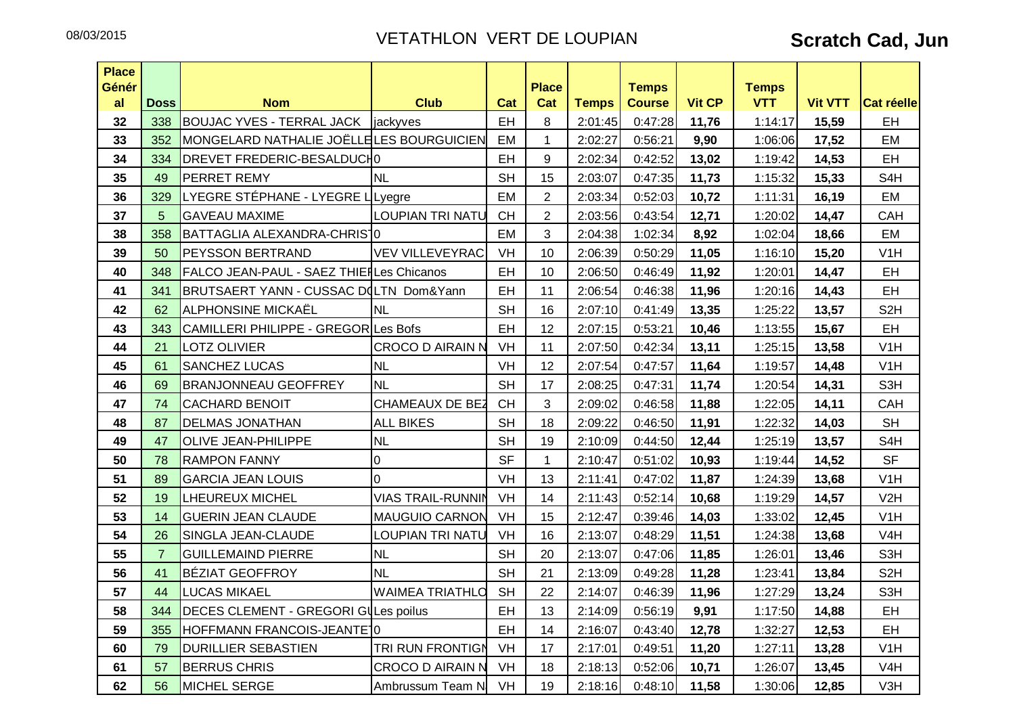| <b>Place</b> |                |                                                 |                          |           |                     |              |                               |               |                            |                |                  |
|--------------|----------------|-------------------------------------------------|--------------------------|-----------|---------------------|--------------|-------------------------------|---------------|----------------------------|----------------|------------------|
| Génér<br>al  | <b>Doss</b>    | <b>Nom</b>                                      | <b>Club</b>              | Cat       | <b>Place</b><br>Cat | <b>Temps</b> | <b>Temps</b><br><b>Course</b> | <b>Vit CP</b> | <b>Temps</b><br><b>VTT</b> | <b>Vit VTT</b> | Cat réelle       |
| 32           | 338            | <b>BOUJAC YVES - TERRAL JACK   jackyves</b>     |                          | <b>EH</b> | 8                   | 2:01:45      | 0:47:28                       | 11,76         | 1:14:17                    | 15,59          | EH               |
| 33           | 352            | MONGELARD NATHALIE JOËLLELES BOURGUICIEN        |                          | <b>EM</b> | $\mathbf{1}$        | 2:02:27      | 0:56:21                       | 9,90          | 1:06:06                    | 17,52          | EM               |
| 34           | 334            | DREVET FREDERIC-BESALDUCH0                      |                          | EH        | 9                   | 2:02:34      | 0:42:52                       | 13,02         | 1:19:42                    | 14,53          | EH               |
| 35           | 49             | <b>PERRET REMY</b>                              | <b>NL</b>                | <b>SH</b> | 15                  | 2:03:07      | 0:47:35                       | 11,73         | 1:15:32                    | 15,33          | S <sub>4</sub> H |
| 36           | 329            | LYEGRE STÉPHANE - LYEGRE LLyegre                |                          | EM        | $\overline{2}$      | 2:03:34      | 0:52:03                       | 10,72         | 1:11:31                    | 16,19          | EM               |
| 37           | 5 <sup>5</sup> | <b>GAVEAU MAXIME</b>                            | <b>LOUPIAN TRI NATU</b>  | <b>CH</b> | $\overline{2}$      | 2:03:56      | 0:43:54                       | 12,71         | 1:20:02                    | 14,47          | CAH              |
| 38           | 358            | BATTAGLIA ALEXANDRA-CHRIS <sup>1</sup> 0        |                          | EM        | 3                   | 2:04:38      | 1:02:34                       | 8,92          | 1:02:04                    | 18,66          | EM               |
| 39           | 50             | <b>PEYSSON BERTRAND</b>                         | <b>VEV VILLEVEYRAC</b>   | VH        | 10                  | 2:06:39      | 0:50:29                       | 11,05         | 1:16:10                    | 15,20          | V1H              |
| 40           | 348            | <b>FALCO JEAN-PAUL - SAEZ THIEFLes Chicanos</b> |                          | EH        | 10                  | 2:06:50      | 0:46:49                       | 11,92         | 1:20:01                    | 14,47          | <b>EH</b>        |
| 41           | 341            | BRUTSAERT YANN - CUSSAC DQLTN Dom&Yann          |                          | EH        | 11                  | 2:06:54      | 0:46:38                       | 11,96         | 1:20:16                    | 14,43          | EH               |
| 42           | 62             | ALPHONSINE MICKAËL                              | <b>NL</b>                | <b>SH</b> | 16                  | 2:07:10      | 0:41:49                       | 13,35         | 1:25:22                    | 13,57          | S <sub>2</sub> H |
| 43           | 343            | CAMILLERI PHILIPPE - GREGOR Les Bofs            |                          | EH        | 12                  | 2:07:15      | 0:53:21                       | 10,46         | 1:13:55                    | 15,67          | EH               |
| 44           | 21             | <b>LOTZ OLIVIER</b>                             | <b>CROCO D AIRAIN N</b>  | VH        | 11                  | 2:07:50      | 0:42:34                       | 13,11         | 1:25:15                    | 13,58          | V1H              |
| 45           | 61             | <b>SANCHEZ LUCAS</b>                            | <b>NL</b>                | VH        | 12                  | 2:07:54      | 0:47:57                       | 11,64         | 1:19:57                    | 14,48          | V1H              |
| 46           | 69             | <b>BRANJONNEAU GEOFFREY</b>                     | <b>NL</b>                | <b>SH</b> | 17                  | 2:08:25      | 0:47:31                       | 11,74         | 1:20:54                    | 14,31          | S <sub>3</sub> H |
| 47           | 74             | <b>CACHARD BENOIT</b>                           | <b>CHAMEAUX DE BEZ</b>   | <b>CH</b> | 3                   | 2:09:02      | 0:46:58                       | 11,88         | 1:22:05                    | 14,11          | CAH              |
| 48           | 87             | <b>DELMAS JONATHAN</b>                          | <b>ALL BIKES</b>         | <b>SH</b> | 18                  | 2:09:22      | 0:46:50                       | 11,91         | 1:22:32                    | 14,03          | <b>SH</b>        |
| 49           | 47             | <b>OLIVE JEAN-PHILIPPE</b>                      | <b>NL</b>                | <b>SH</b> | 19                  | 2:10:09      | 0:44:50                       | 12,44         | 1:25:19                    | 13,57          | S <sub>4</sub> H |
| 50           | 78             | <b>RAMPON FANNY</b>                             | 0                        | <b>SF</b> | $\mathbf{1}$        | 2:10:47      | 0:51:02                       | 10,93         | 1:19:44                    | 14,52          | <b>SF</b>        |
| 51           | 89             | <b>GARCIA JEAN LOUIS</b>                        | $\Omega$                 | VH        | 13                  | 2:11:41      | 0:47:02                       | 11,87         | 1:24:39                    | 13,68          | V1H              |
| 52           | 19             | <b>LHEUREUX MICHEL</b>                          | <b>VIAS TRAIL-RUNNIN</b> | VH        | 14                  | 2:11:43      | 0:52:14                       | 10,68         | 1:19:29                    | 14,57          | V <sub>2</sub> H |
| 53           | 14             | <b>GUERIN JEAN CLAUDE</b>                       | <b>MAUGUIO CARNON</b>    | <b>VH</b> | 15                  | 2:12:47      | 0:39:46                       | 14,03         | 1:33:02                    | 12,45          | V1H              |
| 54           | 26             | SINGLA JEAN-CLAUDE                              | <b>LOUPIAN TRI NATU</b>  | VH        | 16                  | 2:13:07      | 0:48:29                       | 11,51         | 1:24:38                    | 13,68          | V <sub>4</sub> H |
| 55           | $\overline{7}$ | <b>GUILLEMAIND PIERRE</b>                       | <b>NL</b>                | <b>SH</b> | 20                  | 2:13:07      | 0:47:06                       | 11,85         | 1:26:01                    | 13,46          | S3H              |
| 56           | 41             | <b>BÉZIAT GEOFFROY</b>                          | <b>NL</b>                | <b>SH</b> | 21                  | 2:13:09      | 0:49:28                       | 11,28         | 1:23:41                    | 13,84          | S <sub>2</sub> H |
| 57           | 44             | <b>LUCAS MIKAEL</b>                             | <b>WAIMEA TRIATHLO</b>   | <b>SH</b> | 22                  | 2:14:07      | 0:46:39                       | 11,96         | 1:27:29                    | 13,24          | S3H              |
| 58           | 344            | DECES CLEMENT - GREGORI GULes poilus            |                          | EH        | 13                  | 2:14:09      | 0:56:19                       | 9,91          | 1:17:50                    | 14,88          | EH               |
| 59           | 355            | HOFFMANN FRANCOIS-JEANTE10                      |                          | EH        | 14                  | 2:16:07      | 0:43:40                       | 12,78         | 1:32:27                    | 12,53          | EH               |
| 60           | 79             | <b>DURILLIER SEBASTIEN</b>                      | <b>TRI RUN FRONTIGN</b>  | VH        | 17                  | 2:17:01      | 0:49:51                       | 11,20         | 1:27:11                    | 13,28          | V <sub>1</sub> H |
| 61           | 57             | <b>BERRUS CHRIS</b>                             | <b>CROCO D AIRAIN N</b>  | VH        | 18                  | 2:18:13      | 0:52:06                       | 10,71         | 1:26:07                    | 13,45          | V <sub>4</sub> H |
| 62           | 56             | MICHEL SERGE                                    | Ambrussum Team N         | VH        | 19                  | 2:18:16      | 0:48:10                       | 11,58         | 1:30:06                    | 12,85          | V3H              |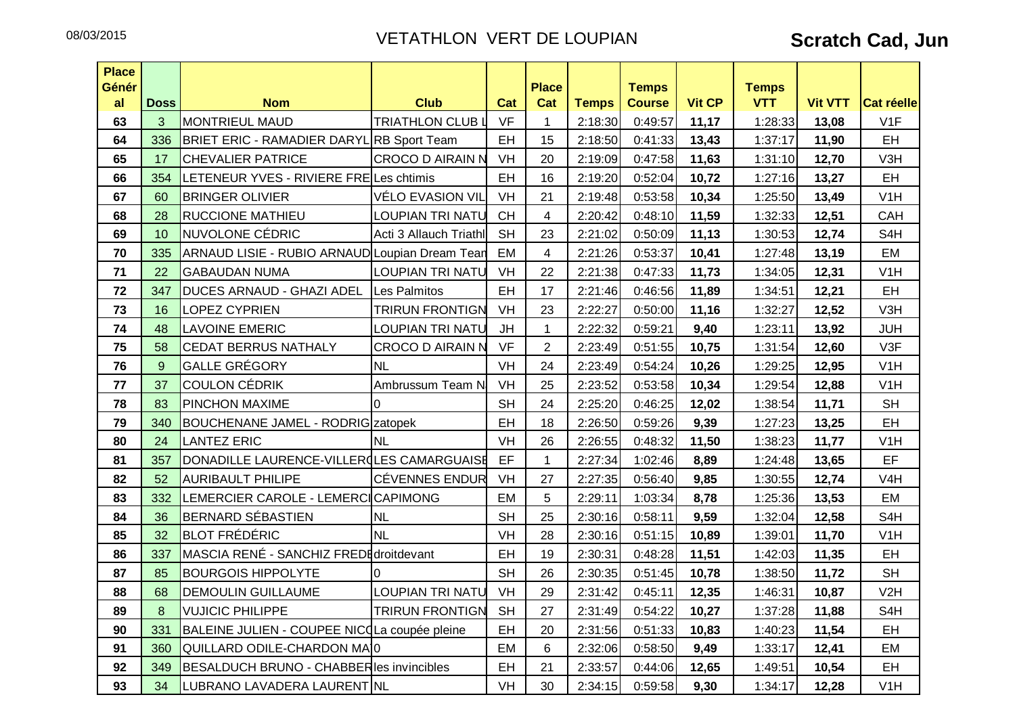| <b>Place</b><br>Génér |             |                                                 |                         |           | <b>Place</b>   |              | <b>Temps</b>  |               | <b>Temps</b> |                |                  |
|-----------------------|-------------|-------------------------------------------------|-------------------------|-----------|----------------|--------------|---------------|---------------|--------------|----------------|------------------|
| al                    | <b>Doss</b> | <b>Nom</b>                                      | <b>Club</b>             | Cat       | Cat            | <b>Temps</b> | <b>Course</b> | <b>Vit CP</b> | <b>VTT</b>   | <b>Vit VTT</b> | Cat réelle       |
| 63                    | 3           | <b>MONTRIEUL MAUD</b>                           | <b>TRIATHLON CLUB L</b> | <b>VF</b> | $\mathbf 1$    | 2:18:30      | 0:49:57       | 11,17         | 1:28:33      | 13,08          | V1F              |
| 64                    | 336         | BRIET ERIC - RAMADIER DARYL RB Sport Team       |                         | EH        | 15             | 2:18:50      | 0:41:33       | 13,43         | 1:37:17      | 11,90          | EH               |
| 65                    | 17          | <b>CHEVALIER PATRICE</b>                        | CROCO D AIRAIN N        | VH        | 20             | 2:19:09      | 0:47:58       | 11,63         | 1:31:10      | 12,70          | V3H              |
| 66                    | 354         | LETENEUR YVES - RIVIERE FRELes chtimis          |                         | EH        | 16             | 2:19:20      | 0:52:04       | 10,72         | 1:27:16      | 13,27          | EH               |
| 67                    | 60          | <b>BRINGER OLIVIER</b>                          | VÉLO EVASION VIL        | VH        | 21             | 2:19:48      | 0:53:58       | 10,34         | 1:25:50      | 13,49          | V1H              |
| 68                    | 28          | <b>RUCCIONE MATHIEU</b>                         | <b>LOUPIAN TRI NATU</b> | <b>CH</b> | $\overline{4}$ | 2:20:42      | 0:48:10       | 11,59         | 1:32:33      | 12,51          | CAH              |
| 69                    | 10          | NUVOLONE CÉDRIC                                 | Acti 3 Allauch Triathl  | <b>SH</b> | 23             | 2:21:02      | 0:50:09       | 11,13         | 1:30:53      | 12,74          | S <sub>4</sub> H |
| 70                    | 335         | ARNAUD LISIE - RUBIO ARNAUD Loupian Dream Tean  |                         | EM        | 4              | 2:21:26      | 0:53:37       | 10,41         | 1:27:48      | 13,19          | EM               |
| 71                    | 22          | <b>GABAUDAN NUMA</b>                            | LOUPIAN TRI NATU        | VH        | 22             | 2:21:38      | 0:47:33       | 11,73         | 1:34:05      | 12,31          | V1H              |
| 72                    | 347         | DUCES ARNAUD - GHAZI ADEL                       | Les Palmitos            | EH        | 17             | 2:21:46      | 0:46:56       | 11,89         | 1:34:51      | 12,21          | EH               |
| 73                    | 16          | <b>LOPEZ CYPRIEN</b>                            | <b>TRIRUN FRONTIGN</b>  | VH        | 23             | 2:22:27      | 0:50:00       | 11,16         | 1:32:27      | 12,52          | V3H              |
| 74                    | 48          | <b>LAVOINE EMERIC</b>                           | <b>LOUPIAN TRI NATU</b> | <b>JH</b> | $\mathbf{1}$   | 2:22:32      | 0:59:21       | 9,40          | 1:23:11      | 13,92          | <b>JUH</b>       |
| 75                    | 58          | <b>CEDAT BERRUS NATHALY</b>                     | <b>CROCO D AIRAIN N</b> | <b>VF</b> | $\overline{2}$ | 2:23:49      | 0:51:55       | 10,75         | 1:31:54      | 12,60          | V3F              |
| 76                    | 9           | <b>GALLE GRÉGORY</b>                            | <b>NL</b>               | VH        | 24             | 2:23:49      | 0:54:24       | 10,26         | 1:29:25      | 12,95          | V1H              |
| 77                    | 37          | <b>COULON CÉDRIK</b>                            | Ambrussum Team N        | VH        | 25             | 2:23:52      | 0:53:58       | 10,34         | 1:29:54      | 12,88          | V1H              |
| 78                    | 83          | PINCHON MAXIME                                  | $\overline{0}$          | <b>SH</b> | 24             | 2:25:20      | 0:46:25       | 12,02         | 1:38:54      | 11,71          | <b>SH</b>        |
| 79                    | 340         | <b>BOUCHENANE JAMEL - RODRIG zatopek</b>        |                         | EH        | 18             | 2:26:50      | 0:59:26       | 9,39          | 1:27:23      | 13,25          | EH               |
| 80                    | 24          | <b>LANTEZ ERIC</b>                              | <b>NL</b>               | VH        | 26             | 2:26:55      | 0:48:32       | 11,50         | 1:38:23      | 11,77          | V <sub>1</sub> H |
| 81                    | 357         | DONADILLE LAURENCE-VILLER(LES CAMARGUAISE       |                         | EF        | $\mathbf 1$    | 2:27:34      | 1:02:46       | 8,89          | 1:24:48      | 13,65          | EF.              |
| 82                    | 52          | <b>AURIBAULT PHILIPE</b>                        | <b>CÉVENNES ENDUR</b>   | VH        | 27             | 2:27:35      | 0:56:40       | 9,85          | 1:30:55      | 12,74          | V <sub>4</sub> H |
| 83                    | 332         | LEMERCIER CAROLE - LEMERCICAPIMONG              |                         | EM        | 5              | 2:29:11      | 1:03:34       | 8,78          | 1:25:36      | 13,53          | EM               |
| 84                    | 36          | <b>BERNARD SÉBASTIEN</b>                        | <b>NL</b>               | <b>SH</b> | 25             | 2:30:16      | 0:58:11       | 9,59          | 1:32:04      | 12,58          | S <sub>4</sub> H |
| 85                    | 32          | <b>BLOT FRÉDÉRIC</b>                            | <b>NL</b>               | VH        | 28             | 2:30:16      | 0:51:15       | 10,89         | 1:39:01      | 11,70          | V1H              |
| 86                    | 337         | MASCIA RENÉ - SANCHIZ FREDE droit devant        |                         | EH        | 19             | 2:30:31      | 0:48:28       | 11,51         | 1:42:03      | 11,35          | EH               |
| 87                    | 85          | <b>BOURGOIS HIPPOLYTE</b>                       | I٥                      | <b>SH</b> | 26             | 2:30:35      | 0:51:45       | 10,78         | 1:38:50      | 11,72          | <b>SH</b>        |
| 88                    | 68          | <b>DEMOULIN GUILLAUME</b>                       | <b>LOUPIAN TRI NATU</b> | VH        | 29             | 2:31:42      | 0:45:11       | 12,35         | 1:46:31      | 10,87          | V <sub>2</sub> H |
| 89                    | 8           | <b>VUJICIC PHILIPPE</b>                         | <b>TRIRUN FRONTIGN</b>  | <b>SH</b> | 27             | 2:31:49      | 0:54:22       | 10,27         | 1:37:28      | 11,88          | S <sub>4</sub> H |
| 90                    | 331         | BALEINE JULIEN - COUPEE NICQLa coupée pleine    |                         | EH        | 20             | 2:31:56      | 0:51:33       | 10,83         | 1:40:23      | 11,54          | EH               |
| 91                    | 360         | QUILLARD ODILE-CHARDON MAI0                     |                         | EM        | 6              | 2:32:06      | 0:58:50       | 9,49          | 1:33:17      | 12,41          | EM               |
| 92                    | 349         | <b>BESALDUCH BRUNO - CHABBERIes invincibles</b> |                         | EH        | 21             | 2:33:57      | 0:44:06       | 12,65         | 1:49:51      | 10,54          | EH               |
| 93                    | 34          | LUBRANO LAVADERA LAURENT NL                     |                         | VH        | 30             | 2:34:15      | 0:59:58       | 9,30          | 1:34:17      | 12,28          | V1H              |